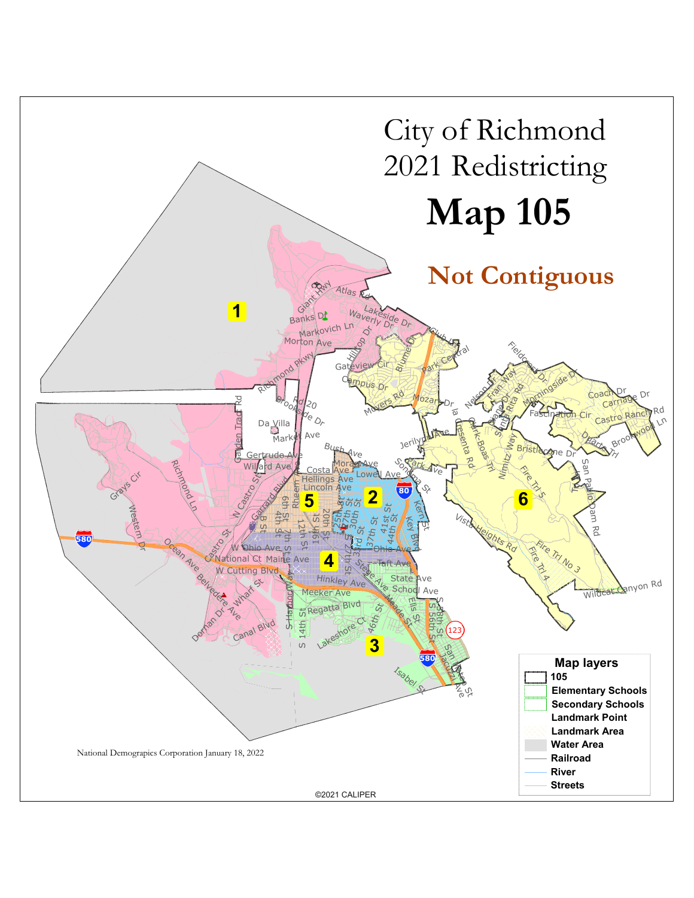